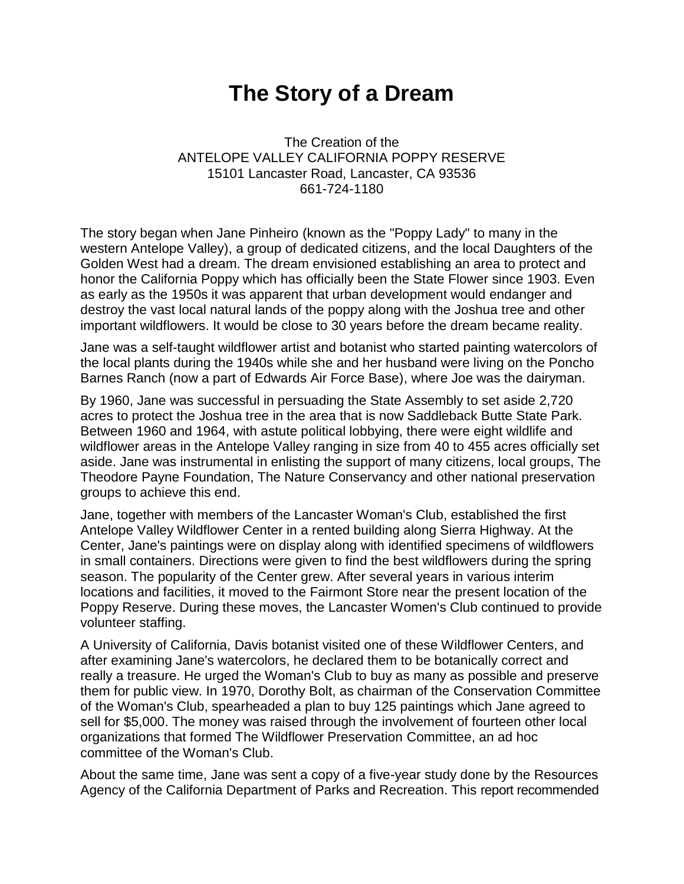## **The Story of a Dream**

The Creation of the ANTELOPE VALLEY CALIFORNIA POPPY RESERVE 15101 Lancaster Road, Lancaster, CA 93536 661-724-1180

The story began when Jane Pinheiro (known as the "Poppy Lady" to many in the western Antelope Valley), a group of dedicated citizens, and the local Daughters of the Golden West had a dream. The dream envisioned establishing an area to protect and honor the California Poppy which has officially been the State Flower since 1903. Even as early as the 1950s it was apparent that urban development would endanger and destroy the vast local natural lands of the poppy along with the Joshua tree and other important wildflowers. It would be close to 30 years before the dream became reality.

Jane was a self-taught wildflower artist and botanist who started painting watercolors of the local plants during the 1940s while she and her husband were living on the Poncho Barnes Ranch (now a part of Edwards Air Force Base), where Joe was the dairyman.

By 1960, Jane was successful in persuading the State Assembly to set aside 2,720 acres to protect the Joshua tree in the area that is now Saddleback Butte State Park. Between 1960 and 1964, with astute political lobbying, there were eight wildlife and wildflower areas in the Antelope Valley ranging in size from 40 to 455 acres officially set aside. Jane was instrumental in enlisting the support of many citizens, local groups, The Theodore Payne Foundation, The Nature Conservancy and other national preservation groups to achieve this end.

Jane, together with members of the Lancaster Woman's Club, established the first Antelope Valley Wildflower Center in a rented building along Sierra Highway. At the Center, Jane's paintings were on display along with identified specimens of wildflowers in small containers. Directions were given to find the best wildflowers during the spring season. The popularity of the Center grew. After several years in various interim locations and facilities, it moved to the Fairmont Store near the present location of the Poppy Reserve. During these moves, the Lancaster Women's Club continued to provide volunteer staffing.

A University of California, Davis botanist visited one of these Wildflower Centers, and after examining Jane's watercolors, he declared them to be botanically correct and really a treasure. He urged the Woman's Club to buy as many as possible and preserve them for public view. In 1970, Dorothy Bolt, as chairman of the Conservation Committee of the Woman's Club, spearheaded a plan to buy 125 paintings which Jane agreed to sell for \$5,000. The money was raised through the involvement of fourteen other local organizations that formed The Wildflower Preservation Committee, an ad hoc committee of the Woman's Club.

About the same time, Jane was sent a copy of a five-year study done by the Resources Agency of the California Department of Parks and Recreation. This report recommended